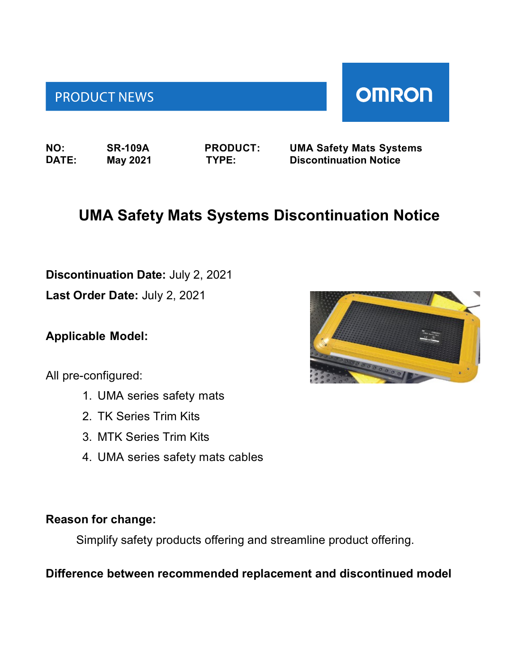# **PRODUCT NEWS**

**NO: SR-109A PRODUCT: UMA Safety Mats Systems DATE: May 2021 TYPE: Discontinuation Notice**

# **UMA Safety Mats Systems Discontinuation Notice**

**Discontinuation Date:** July 2, 2021

**Last Order Date:** July 2, 2021

#### **Applicable Model:**

All pre-configured:

- 1. UMA series safety mats
- 2. TK Series Trim Kits
- 3. MTK Series Trim Kits
- 4. UMA series safety mats cables

### **Reason for change:**

Simplify safety products offering and streamline product offering.

### **Difference between recommended replacement and discontinued model**



**OMRON**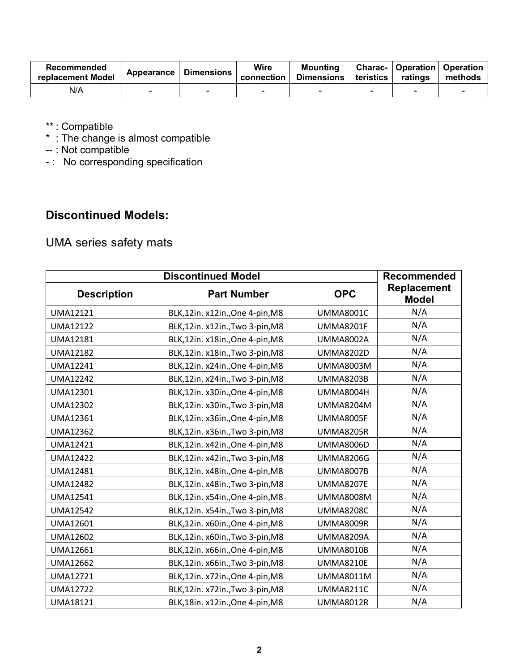| Recommended<br>replacement Model | Appearance | <b>Dimensions</b> | Wire<br>connection | <b>Mounting</b><br><b>Dimensions</b> | teristics | ratings | <b>Charac-   Operation   Operation</b><br>methods |
|----------------------------------|------------|-------------------|--------------------|--------------------------------------|-----------|---------|---------------------------------------------------|
| N/A                              | -          |                   |                    |                                      | $\sim$    |         |                                                   |

\*\* : Compatible

 $^{\ast}\,$  : The change is almost compatible

-- : Not compatible

- : No corresponding specification

#### **Discontinued Models:**

## UMA series safety mats

|                    | Recommended                     |                  |                                    |
|--------------------|---------------------------------|------------------|------------------------------------|
| <b>Description</b> | <b>Part Number</b>              | <b>OPC</b>       | <b>Replacement</b><br><b>Model</b> |
| UMA12121           | BLK,12in. x12in.,One 4-pin,M8   | <b>UMMA8001C</b> | N/A                                |
| <b>UMA12122</b>    | BLK,12in. x12in., Two 3-pin, M8 | <b>UMMA8201F</b> | N/A                                |
| UMA12181           | BLK,12in. x18in.,One 4-pin,M8   | <b>UMMA8002A</b> | N/A                                |
| <b>UMA12182</b>    | BLK,12in. x18in., Two 3-pin, M8 | <b>UMMA8202D</b> | N/A                                |
| UMA12241           | BLK,12in. x24in.,One 4-pin,M8   | <b>UMMA8003M</b> | N/A                                |
| <b>UMA12242</b>    | BLK,12in. x24in., Two 3-pin, M8 | <b>UMMA8203B</b> | N/A                                |
| UMA12301           | BLK,12in. x30in.,One 4-pin,M8   | <b>UMMA8004H</b> | N/A                                |
| <b>UMA12302</b>    | BLK,12in. x30in., Two 3-pin, M8 | <b>UMMA8204M</b> | N/A                                |
| UMA12361           | BLK,12in. x36in.,One 4-pin,M8   | <b>UMMA8005F</b> | N/A                                |
| <b>UMA12362</b>    | BLK,12in. x36in., Two 3-pin, M8 | <b>UMMA8205R</b> | N/A                                |
| <b>UMA12421</b>    | BLK,12in. x42in.,One 4-pin,M8   | <b>UMMA8006D</b> | N/A                                |
| <b>UMA12422</b>    | BLK,12in. x42in., Two 3-pin, M8 | <b>UMMA8206G</b> | N/A                                |
| <b>UMA12481</b>    | BLK,12in. x48in.,One 4-pin,M8   | <b>UMMA8007B</b> | N/A                                |
| <b>UMA12482</b>    | BLK,12in. x48in., Two 3-pin, M8 | <b>UMMA8207E</b> | N/A                                |
| <b>UMA12541</b>    | BLK,12in. x54in.,One 4-pin,M8   | <b>UMMA8008M</b> | N/A                                |
| <b>UMA12542</b>    | BLK,12in. x54in., Two 3-pin, M8 | <b>UMMA8208C</b> | N/A                                |
| UMA12601           | BLK,12in. x60in.,One 4-pin,M8   | <b>UMMA8009R</b> | N/A                                |
| <b>UMA12602</b>    | BLK,12in. x60in., Two 3-pin, M8 | <b>UMMA8209A</b> | N/A                                |
| UMA12661           | BLK,12in. x66in., One 4-pin, M8 | <b>UMMA8010B</b> | N/A                                |
| <b>UMA12662</b>    | BLK,12in. x66in., Two 3-pin, M8 | <b>UMMA8210E</b> | N/A                                |
| <b>UMA12721</b>    | BLK,12in. x72in.,One 4-pin,M8   | <b>UMMA8011M</b> | N/A                                |
| <b>UMA12722</b>    | BLK,12in. x72in., Two 3-pin, M8 | <b>UMMA8211C</b> | N/A                                |
| <b>UMA18121</b>    | BLK,18in. x12in.,One 4-pin,M8   | <b>UMMA8012R</b> | N/A                                |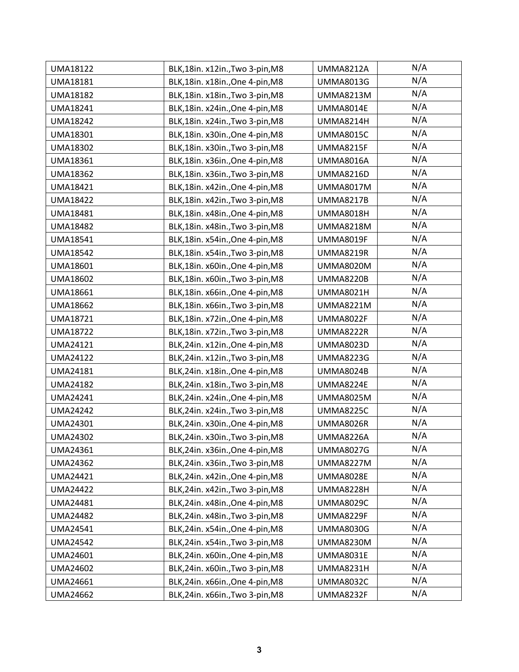| UMA18122        | BLK,18in. x12in., Two 3-pin, M8   | <b>UMMA8212A</b> | N/A |
|-----------------|-----------------------------------|------------------|-----|
| UMA18181        | BLK,18in. x18in.,One 4-pin,M8     | <b>UMMA8013G</b> | N/A |
| <b>UMA18182</b> | BLK, 18in. x18in., Two 3-pin, M8  | <b>UMMA8213M</b> | N/A |
| UMA18241        | BLK,18in. x24in.,One 4-pin,M8     | <b>UMMA8014E</b> | N/A |
| <b>UMA18242</b> | BLK,18in. x24in.,Two 3-pin,M8     | <b>UMMA8214H</b> | N/A |
| UMA18301        | BLK,18in. x30in.,One 4-pin,M8     | <b>UMMA8015C</b> | N/A |
| <b>UMA18302</b> | BLK,18in. x30in., Two 3-pin, M8   | <b>UMMA8215F</b> | N/A |
| UMA18361        | BLK,18in. x36in.,One 4-pin,M8     | <b>UMMA8016A</b> | N/A |
| <b>UMA18362</b> | BLK,18in. x36in., Two 3-pin, M8   | <b>UMMA8216D</b> | N/A |
| UMA18421        | BLK,18in. x42in.,One 4-pin,M8     | <b>UMMA8017M</b> | N/A |
| <b>UMA18422</b> | BLK,18in. x42in., Two 3-pin, M8   | <b>UMMA8217B</b> | N/A |
| UMA18481        | BLK,18in. x48in.,One 4-pin,M8     | <b>UMMA8018H</b> | N/A |
| <b>UMA18482</b> | BLK,18in. x48in., Two 3-pin, M8   | <b>UMMA8218M</b> | N/A |
| <b>UMA18541</b> | BLK,18in. x54in.,One 4-pin,M8     | <b>UMMA8019F</b> | N/A |
| <b>UMA18542</b> | BLK,18in. x54in.,Two 3-pin,M8     | <b>UMMA8219R</b> | N/A |
| UMA18601        | BLK,18in. x60in.,One 4-pin,M8     | <b>UMMA8020M</b> | N/A |
| <b>UMA18602</b> | BLK,18in. x60in., Two 3-pin, M8   | <b>UMMA8220B</b> | N/A |
| UMA18661        | BLK,18in. x66in.,One 4-pin,M8     | <b>UMMA8021H</b> | N/A |
| <b>UMA18662</b> | BLK,18in. x66in., Two 3-pin, M8   | <b>UMMA8221M</b> | N/A |
| UMA18721        | BLK,18in. x72in.,One 4-pin,M8     | <b>UMMA8022F</b> | N/A |
| <b>UMA18722</b> | BLK,18in. x72in., Two 3-pin, M8   | <b>UMMA8222R</b> | N/A |
| <b>UMA24121</b> | BLK,24in. x12in.,One 4-pin,M8     | <b>UMMA8023D</b> | N/A |
| <b>UMA24122</b> | BLK, 24in. x12in., Two 3-pin, M8  | <b>UMMA8223G</b> | N/A |
| UMA24181        | BLK,24in. x18in.,One 4-pin,M8     | <b>UMMA8024B</b> | N/A |
| <b>UMA24182</b> | BLK, 24in. x18in., Two 3-pin, M8  | <b>UMMA8224E</b> | N/A |
| <b>UMA24241</b> | BLK,24in. x24in.,One 4-pin,M8     | <b>UMMA8025M</b> | N/A |
| <b>UMA24242</b> | BLK, 24in. x 24in., Two 3-pin, M8 | <b>UMMA8225C</b> | N/A |
| UMA24301        | BLK,24in. x30in.,One 4-pin,M8     | <b>UMMA8026R</b> | N/A |
| <b>UMA24302</b> | BLK,24in. x30in., Two 3-pin, M8   | <b>UMMA8226A</b> | N/A |
| <b>UMA24361</b> | BLK,24in. x36in.,One 4-pin,M8     | <b>UMMA8027G</b> | N/A |
| <b>UMA24362</b> | BLK,24in. x36in., Two 3-pin, M8   | <b>UMMA8227M</b> | N/A |
| UMA24421        | BLK,24in. x42in.,One 4-pin,M8     | <b>UMMA8028E</b> | N/A |
| <b>UMA24422</b> | BLK,24in. x42in., Two 3-pin, M8   | <b>UMMA8228H</b> | N/A |
| <b>UMA24481</b> | BLK,24in. x48in.,One 4-pin,M8     | <b>UMMA8029C</b> | N/A |
| <b>UMA24482</b> | BLK, 24in. x48in., Two 3-pin, M8  | <b>UMMA8229F</b> | N/A |
| UMA24541        | BLK,24in. x54in.,One 4-pin,M8     | <b>UMMA8030G</b> | N/A |
| <b>UMA24542</b> | BLK,24in. x54in.,Two 3-pin,M8     | <b>UMMA8230M</b> | N/A |
| <b>UMA24601</b> | BLK,24in. x60in.,One 4-pin,M8     | <b>UMMA8031E</b> | N/A |
| <b>UMA24602</b> | BLK,24in. x60in., Two 3-pin, M8   | <b>UMMA8231H</b> | N/A |
| UMA24661        | BLK,24in. x66in.,One 4-pin,M8     | <b>UMMA8032C</b> | N/A |
| <b>UMA24662</b> | BLK,24in. x66in., Two 3-pin, M8   | <b>UMMA8232F</b> | N/A |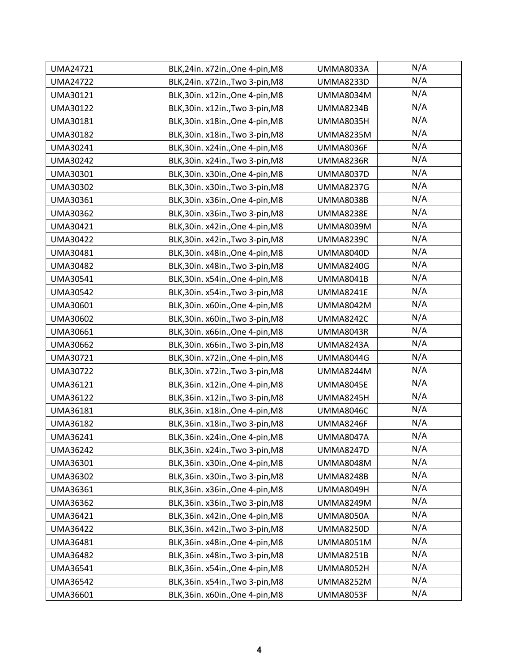| <b>UMA24721</b> | BLK,24in. x72in.,One 4-pin,M8     | <b>UMMA8033A</b> | N/A |
|-----------------|-----------------------------------|------------------|-----|
| <b>UMA24722</b> | BLK,24in. x72in., Two 3-pin, M8   | <b>UMMA8233D</b> | N/A |
| UMA30121        | BLK,30in. x12in.,One 4-pin,M8     | <b>UMMA8034M</b> | N/A |
| UMA30122        | BLK,30in. x12in., Two 3-pin, M8   | <b>UMMA8234B</b> | N/A |
| UMA30181        | BLK,30in. x18in.,One 4-pin,M8     | <b>UMMA8035H</b> | N/A |
| UMA30182        | BLK,30in. x18in., Two 3-pin, M8   | <b>UMMA8235M</b> | N/A |
| UMA30241        | BLK,30in. x24in.,One 4-pin,M8     | UMMA8036F        | N/A |
| UMA30242        | BLK, 30in. x24in., Two 3-pin, M8  | <b>UMMA8236R</b> | N/A |
| UMA30301        | BLK,30in. x30in.,One 4-pin,M8     | <b>UMMA8037D</b> | N/A |
| UMA30302        | BLK,30in. x30in., Two 3-pin, M8   | <b>UMMA8237G</b> | N/A |
| UMA30361        | BLK,30in. x36in.,One 4-pin,M8     | <b>UMMA8038B</b> | N/A |
| UMA30362        | BLK,30in. x36in., Two 3-pin, M8   | <b>UMMA8238E</b> | N/A |
| UMA30421        | BLK,30in. x42in.,One 4-pin,M8     | <b>UMMA8039M</b> | N/A |
| UMA30422        | BLK,30in. x42in., Two 3-pin, M8   | <b>UMMA8239C</b> | N/A |
| UMA30481        | BLK,30in. x48in.,One 4-pin,M8     | <b>UMMA8040D</b> | N/A |
| UMA30482        | BLK,30in. x48in., Two 3-pin, M8   | <b>UMMA8240G</b> | N/A |
| UMA30541        | BLK,30in. x54in.,One 4-pin,M8     | <b>UMMA8041B</b> | N/A |
| UMA30542        | BLK,30in. x54in., Two 3-pin, M8   | <b>UMMA8241E</b> | N/A |
| UMA30601        | BLK,30in. x60in.,One 4-pin,M8     | <b>UMMA8042M</b> | N/A |
| UMA30602        | BLK,30in. x60in., Two 3-pin, M8   | <b>UMMA8242C</b> | N/A |
| UMA30661        | BLK,30in. x66in.,One 4-pin,M8     | UMMA8043R        | N/A |
| UMA30662        | BLK,30in. x66in., Two 3-pin, M8   | <b>UMMA8243A</b> | N/A |
| UMA30721        | BLK,30in. x72in.,One 4-pin,M8     | <b>UMMA8044G</b> | N/A |
| <b>UMA30722</b> | BLK,30in. x72in., Two 3-pin, M8   | UMMA8244M        | N/A |
| UMA36121        | BLK,36in. x12in.,One 4-pin,M8     | <b>UMMA8045E</b> | N/A |
| UMA36122        | BLK,36in. x12in., Two 3-pin, M8   | <b>UMMA8245H</b> | N/A |
| UMA36181        | BLK, 36in. x18in., One 4-pin, M8  | <b>UMMA8046C</b> | N/A |
| UMA36182        | BLK,36in. x18in., Two 3-pin, M8   | UMMA8246F        | N/A |
| UMA36241        | BLK,36in. x24in.,One 4-pin,M8     | <b>UMMA8047A</b> | N/A |
| <b>UMA36242</b> | BLK,36in. x24in.,Two 3-pin,M8     | <b>UMMA8247D</b> | N/A |
| UMA36301        | BLK,36in. x30in.,One 4-pin,M8     | <b>UMMA8048M</b> | N/A |
| UMA36302        | BLK, 36in. x 30in., Two 3-pin, M8 | <b>UMMA8248B</b> | N/A |
| UMA36361        | BLK,36in. x36in.,One 4-pin,M8     | <b>UMMA8049H</b> | N/A |
| UMA36362        | BLK, 36in. x 36in., Two 3-pin, M8 | <b>UMMA8249M</b> | N/A |
| UMA36421        | BLK,36in. x42in.,One 4-pin,M8     | <b>UMMA8050A</b> | N/A |
| UMA36422        | BLK,36in. x42in., Two 3-pin, M8   | <b>UMMA8250D</b> | N/A |
| UMA36481        | BLK,36in. x48in.,One 4-pin,M8     | <b>UMMA8051M</b> | N/A |
| UMA36482        | BLK,36in. x48in., Two 3-pin, M8   | <b>UMMA8251B</b> | N/A |
| UMA36541        | BLK,36in. x54in.,One 4-pin,M8     | <b>UMMA8052H</b> | N/A |
| <b>UMA36542</b> | BLK,36in. x54in., Two 3-pin, M8   | <b>UMMA8252M</b> | N/A |
| UMA36601        | BLK,36in. x60in.,One 4-pin,M8     | <b>UMMA8053F</b> | N/A |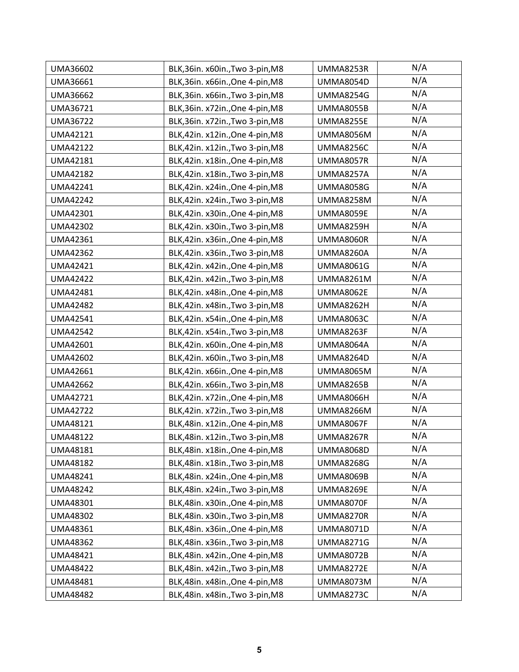| UMA36602        | BLK,36in. x60in., Two 3-pin, M8 | <b>UMMA8253R</b> | N/A |
|-----------------|---------------------------------|------------------|-----|
| UMA36661        | BLK,36in. x66in.,One 4-pin,M8   | <b>UMMA8054D</b> | N/A |
| <b>UMA36662</b> | BLK,36in. x66in., Two 3-pin, M8 | <b>UMMA8254G</b> | N/A |
| UMA36721        | BLK,36in. x72in.,One 4-pin,M8   | <b>UMMA8055B</b> | N/A |
| <b>UMA36722</b> | BLK,36in. x72in.,Two 3-pin,M8   | <b>UMMA8255E</b> | N/A |
| <b>UMA42121</b> | BLK,42in. x12in.,One 4-pin,M8   | <b>UMMA8056M</b> | N/A |
| <b>UMA42122</b> | BLK,42in. x12in., Two 3-pin, M8 | <b>UMMA8256C</b> | N/A |
| UMA42181        | BLK,42in. x18in.,One 4-pin,M8   | <b>UMMA8057R</b> | N/A |
| <b>UMA42182</b> | BLK,42in. x18in., Two 3-pin, M8 | <b>UMMA8257A</b> | N/A |
| UMA42241        | BLK,42in. x24in.,One 4-pin,M8   | <b>UMMA8058G</b> | N/A |
| <b>UMA42242</b> | BLK,42in. x24in., Two 3-pin, M8 | <b>UMMA8258M</b> | N/A |
| UMA42301        | BLK,42in. x30in.,One 4-pin,M8   | <b>UMMA8059E</b> | N/A |
| <b>UMA42302</b> | BLK,42in. x30in., Two 3-pin, M8 | <b>UMMA8259H</b> | N/A |
| UMA42361        | BLK,42in. x36in.,One 4-pin,M8   | <b>UMMA8060R</b> | N/A |
| <b>UMA42362</b> | BLK,42in. x36in.,Two 3-pin,M8   | <b>UMMA8260A</b> | N/A |
| UMA42421        | BLK,42in. x42in.,One 4-pin,M8   | <b>UMMA8061G</b> | N/A |
| <b>UMA42422</b> | BLK,42in. x42in., Two 3-pin, M8 | <b>UMMA8261M</b> | N/A |
| <b>UMA42481</b> | BLK,42in. x48in.,One 4-pin,M8   | <b>UMMA8062E</b> | N/A |
| <b>UMA42482</b> | BLK,42in. x48in., Two 3-pin, M8 | <b>UMMA8262H</b> | N/A |
| UMA42541        | BLK,42in. x54in.,One 4-pin,M8   | <b>UMMA8063C</b> | N/A |
| <b>UMA42542</b> | BLK,42in. x54in., Two 3-pin, M8 | UMMA8263F        | N/A |
| UMA42601        | BLK,42in. x60in.,One 4-pin,M8   | <b>UMMA8064A</b> | N/A |
| <b>UMA42602</b> | BLK,42in. x60in., Two 3-pin, M8 | <b>UMMA8264D</b> | N/A |
| UMA42661        | BLK,42in. x66in., One 4-pin, M8 | <b>UMMA8065M</b> | N/A |
| <b>UMA42662</b> | BLK,42in. x66in., Two 3-pin, M8 | <b>UMMA8265B</b> | N/A |
| <b>UMA42721</b> | BLK,42in. x72in.,One 4-pin,M8   | <b>UMMA8066H</b> | N/A |
| <b>UMA42722</b> | BLK,42in. x72in., Two 3-pin, M8 | <b>UMMA8266M</b> | N/A |
| UMA48121        | BLK,48in. x12in.,One 4-pin,M8   | <b>UMMA8067F</b> | N/A |
| <b>UMA48122</b> | BLK,48in. x12in., Two 3-pin, M8 | <b>UMMA8267R</b> | N/A |
| <b>UMA48181</b> | BLK,48in. x18in.,One 4-pin,M8   | <b>UMMA8068D</b> | N/A |
| <b>UMA48182</b> | BLK,48in. x18in., Two 3-pin, M8 | <b>UMMA8268G</b> | N/A |
| UMA48241        | BLK,48in. x24in.,One 4-pin,M8   | <b>UMMA8069B</b> | N/A |
| <b>UMA48242</b> | BLK,48in. x24in., Two 3-pin, M8 | <b>UMMA8269E</b> | N/A |
| UMA48301        | BLK,48in. x30in.,One 4-pin,M8   | <b>UMMA8070F</b> | N/A |
| <b>UMA48302</b> | BLK,48in. x30in., Two 3-pin, M8 | <b>UMMA8270R</b> | N/A |
| <b>UMA48361</b> | BLK,48in. x36in., One 4-pin, M8 | <b>UMMA8071D</b> | N/A |
| <b>UMA48362</b> | BLK,48in. x36in., Two 3-pin, M8 | <b>UMMA8271G</b> | N/A |
| UMA48421        | BLK,48in. x42in.,One 4-pin,M8   | <b>UMMA8072B</b> | N/A |
| <b>UMA48422</b> | BLK,48in. x42in.,Two 3-pin,M8   | <b>UMMA8272E</b> | N/A |
| UMA48481        | BLK,48in. x48in., One 4-pin, M8 | <b>UMMA8073M</b> | N/A |
| <b>UMA48482</b> | BLK,48in. x48in., Two 3-pin, M8 | <b>UMMA8273C</b> | N/A |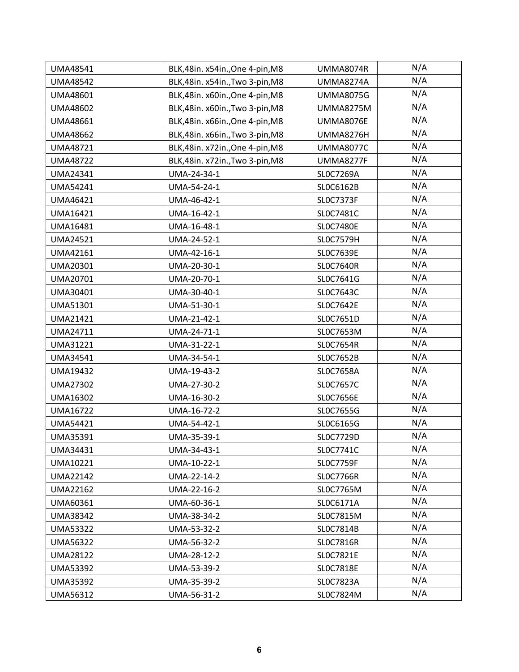| <b>UMA48541</b> | BLK,48in. x54in.,One 4-pin,M8   | <b>UMMA8074R</b> | N/A |
|-----------------|---------------------------------|------------------|-----|
| <b>UMA48542</b> | BLK,48in. x54in., Two 3-pin, M8 | <b>UMMA8274A</b> | N/A |
| UMA48601        | BLK,48in. x60in.,One 4-pin,M8   | <b>UMMA8075G</b> | N/A |
| <b>UMA48602</b> | BLK,48in. x60in., Two 3-pin, M8 | <b>UMMA8275M</b> | N/A |
| UMA48661        | BLK,48in. x66in., One 4-pin, M8 | <b>UMMA8076E</b> | N/A |
| <b>UMA48662</b> | BLK,48in. x66in., Two 3-pin, M8 | <b>UMMA8276H</b> | N/A |
| <b>UMA48721</b> | BLK,48in. x72in.,One 4-pin,M8   | <b>UMMA8077C</b> | N/A |
| <b>UMA48722</b> | BLK,48in. x72in.,Two 3-pin,M8   | <b>UMMA8277F</b> | N/A |
| <b>UMA24341</b> | UMA-24-34-1                     | SLOC7269A        | N/A |
| UMA54241        | UMA-54-24-1                     | SLOC6162B        | N/A |
| UMA46421        | UMA-46-42-1                     | SLOC7373F        | N/A |
| UMA16421        | UMA-16-42-1                     | SL0C7481C        | N/A |
| UMA16481        | UMA-16-48-1                     | <b>SLOC7480E</b> | N/A |
| <b>UMA24521</b> | UMA-24-52-1                     | <b>SLOC7579H</b> | N/A |
| <b>UMA42161</b> | UMA-42-16-1                     | SLOC7639E        | N/A |
| UMA20301        | UMA-20-30-1                     | <b>SLOC7640R</b> | N/A |
| UMA20701        | UMA-20-70-1                     | SL0C7641G        | N/A |
| UMA30401        | UMA-30-40-1                     | SLOC7643C        | N/A |
| UMA51301        | UMA-51-30-1                     | SLOC7642E        | N/A |
| <b>UMA21421</b> | UMA-21-42-1                     | SLOC7651D        | N/A |
| UMA24711        | UMA-24-71-1                     | SL0C7653M        | N/A |
| UMA31221        | UMA-31-22-1                     | <b>SLOC7654R</b> | N/A |
| UMA34541        | UMA-34-54-1                     | SLOC7652B        | N/A |
| <b>UMA19432</b> | UMA-19-43-2                     | SLOC7658A        | N/A |
| <b>UMA27302</b> | UMA-27-30-2                     | SLOC7657C        | N/A |
| UMA16302        | UMA-16-30-2                     | <b>SLOC7656E</b> | N/A |
| <b>UMA16722</b> | UMA-16-72-2                     | SL0C7655G        | N/A |
| <b>UMA54421</b> | UMA-54-42-1                     | SLOC6165G        | N/A |
| <b>UMA35391</b> | UMA-35-39-1                     | SLOC7729D        | N/A |
| UMA34431        | UMA-34-43-1                     | SLOC7741C        | N/A |
| UMA10221        | UMA-10-22-1                     | <b>SLOC7759F</b> | N/A |
| <b>UMA22142</b> | UMA-22-14-2                     | <b>SLOC7766R</b> | N/A |
| <b>UMA22162</b> | UMA-22-16-2                     | SLOC7765M        | N/A |
| UMA60361        | UMA-60-36-1                     | SLOC6171A        | N/A |
| <b>UMA38342</b> | UMA-38-34-2                     | SL0C7815M        | N/A |
| <b>UMA53322</b> | UMA-53-32-2                     | SLOC7814B        | N/A |
| <b>UMA56322</b> | UMA-56-32-2                     | <b>SLOC7816R</b> | N/A |
| <b>UMA28122</b> | UMA-28-12-2                     | SLOC7821E        | N/A |
| <b>UMA53392</b> | UMA-53-39-2                     | SLOC7818E        | N/A |
| <b>UMA35392</b> | UMA-35-39-2                     | SLOC7823A        | N/A |
| UMA56312        | UMA-56-31-2                     | SL0C7824M        | N/A |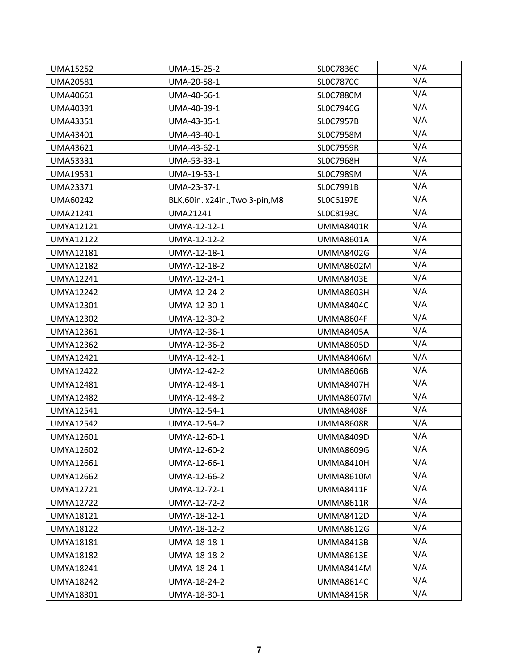| <b>UMA15252</b>  | UMA-15-25-2                     | SLOC7836C        | N/A |
|------------------|---------------------------------|------------------|-----|
| <b>UMA20581</b>  | UMA-20-58-1                     | SLOC7870C        | N/A |
| UMA40661         | UMA-40-66-1                     | SL0C7880M        | N/A |
| UMA40391         | UMA-40-39-1                     | SLOC7946G        | N/A |
| <b>UMA43351</b>  | UMA-43-35-1                     | SLOC7957B        | N/A |
| UMA43401         | UMA-43-40-1                     | SL0C7958M        | N/A |
| UMA43621         | UMA-43-62-1                     | <b>SLOC7959R</b> | N/A |
| UMA53331         | UMA-53-33-1                     | <b>SLOC7968H</b> | N/A |
| UMA19531         | UMA-19-53-1                     | SL0C7989M        | N/A |
| UMA23371         | UMA-23-37-1                     | SLOC7991B        | N/A |
| UMA60242         | BLK,60in. x24in., Two 3-pin, M8 | SLOC6197E        | N/A |
| UMA21241         | UMA21241                        | SLOC8193C        | N/A |
| <b>UMYA12121</b> | UMYA-12-12-1                    | <b>UMMA8401R</b> | N/A |
| <b>UMYA12122</b> | UMYA-12-12-2                    | <b>UMMA8601A</b> | N/A |
| <b>UMYA12181</b> | UMYA-12-18-1                    | <b>UMMA8402G</b> | N/A |
| <b>UMYA12182</b> | UMYA-12-18-2                    | <b>UMMA8602M</b> | N/A |
| <b>UMYA12241</b> | UMYA-12-24-1                    | <b>UMMA8403E</b> | N/A |
| <b>UMYA12242</b> | UMYA-12-24-2                    | <b>UMMA8603H</b> | N/A |
| <b>UMYA12301</b> | UMYA-12-30-1                    | UMMA8404C        | N/A |
| <b>UMYA12302</b> | UMYA-12-30-2                    | UMMA8604F        | N/A |
| <b>UMYA12361</b> | UMYA-12-36-1                    | <b>UMMA8405A</b> | N/A |
| <b>UMYA12362</b> | UMYA-12-36-2                    | <b>UMMA8605D</b> | N/A |
| <b>UMYA12421</b> | UMYA-12-42-1                    | <b>UMMA8406M</b> | N/A |
| <b>UMYA12422</b> | UMYA-12-42-2                    | <b>UMMA8606B</b> | N/A |
| <b>UMYA12481</b> | UMYA-12-48-1                    | <b>UMMA8407H</b> | N/A |
| <b>UMYA12482</b> | UMYA-12-48-2                    | <b>UMMA8607M</b> | N/A |
| <b>UMYA12541</b> | UMYA-12-54-1                    | <b>UMMA8408F</b> | N/A |
| <b>UMYA12542</b> | UMYA-12-54-2                    | <b>UMMA8608R</b> | N/A |
| <b>UMYA12601</b> | UMYA-12-60-1                    | <b>UMMA8409D</b> | N/A |
| <b>UMYA12602</b> | UMYA-12-60-2                    | <b>UMMA8609G</b> | N/A |
| <b>UMYA12661</b> | UMYA-12-66-1                    | <b>UMMA8410H</b> | N/A |
| <b>UMYA12662</b> | UMYA-12-66-2                    | <b>UMMA8610M</b> | N/A |
| <b>UMYA12721</b> | UMYA-12-72-1                    | UMMA8411F        | N/A |
| <b>UMYA12722</b> | UMYA-12-72-2                    | <b>UMMA8611R</b> | N/A |
| <b>UMYA18121</b> | UMYA-18-12-1                    | <b>UMMA8412D</b> | N/A |
| <b>UMYA18122</b> | UMYA-18-12-2                    | <b>UMMA8612G</b> | N/A |
| <b>UMYA18181</b> | UMYA-18-18-1                    | <b>UMMA8413B</b> | N/A |
| <b>UMYA18182</b> | UMYA-18-18-2                    | <b>UMMA8613E</b> | N/A |
| <b>UMYA18241</b> | UMYA-18-24-1                    | <b>UMMA8414M</b> | N/A |
| <b>UMYA18242</b> | UMYA-18-24-2                    | UMMA8614C        | N/A |
| UMYA18301        | UMYA-18-30-1                    | <b>UMMA8415R</b> | N/A |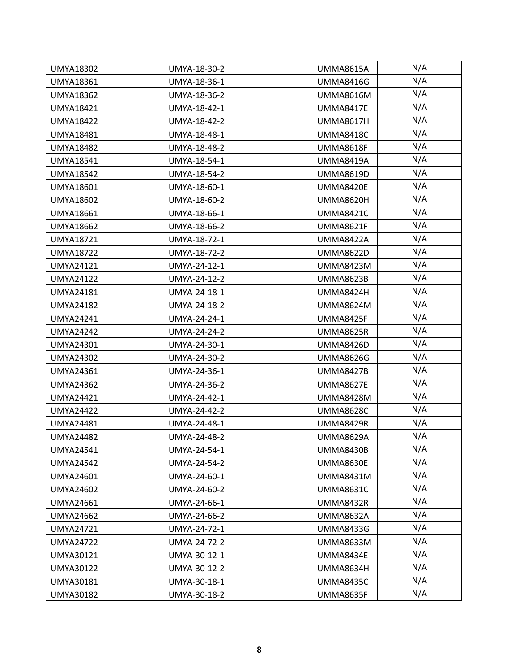| <b>UMYA18302</b> | UMYA-18-30-2 | <b>UMMA8615A</b> | N/A |
|------------------|--------------|------------------|-----|
| <b>UMYA18361</b> | UMYA-18-36-1 | <b>UMMA8416G</b> | N/A |
| <b>UMYA18362</b> | UMYA-18-36-2 | <b>UMMA8616M</b> | N/A |
| <b>UMYA18421</b> | UMYA-18-42-1 | UMMA8417E        | N/A |
| <b>UMYA18422</b> | UMYA-18-42-2 | <b>UMMA8617H</b> | N/A |
| <b>UMYA18481</b> | UMYA-18-48-1 | <b>UMMA8418C</b> | N/A |
| <b>UMYA18482</b> | UMYA-18-48-2 | <b>UMMA8618F</b> | N/A |
| <b>UMYA18541</b> | UMYA-18-54-1 | <b>UMMA8419A</b> | N/A |
| <b>UMYA18542</b> | UMYA-18-54-2 | <b>UMMA8619D</b> | N/A |
| <b>UMYA18601</b> | UMYA-18-60-1 | <b>UMMA8420E</b> | N/A |
| <b>UMYA18602</b> | UMYA-18-60-2 | <b>UMMA8620H</b> | N/A |
| <b>UMYA18661</b> | UMYA-18-66-1 | <b>UMMA8421C</b> | N/A |
| <b>UMYA18662</b> | UMYA-18-66-2 | <b>UMMA8621F</b> | N/A |
| <b>UMYA18721</b> | UMYA-18-72-1 | <b>UMMA8422A</b> | N/A |
| <b>UMYA18722</b> | UMYA-18-72-2 | <b>UMMA8622D</b> | N/A |
| <b>UMYA24121</b> | UMYA-24-12-1 | <b>UMMA8423M</b> | N/A |
| <b>UMYA24122</b> | UMYA-24-12-2 | <b>UMMA8623B</b> | N/A |
| <b>UMYA24181</b> | UMYA-24-18-1 | <b>UMMA8424H</b> | N/A |
| <b>UMYA24182</b> | UMYA-24-18-2 | <b>UMMA8624M</b> | N/A |
| <b>UMYA24241</b> | UMYA-24-24-1 | <b>UMMA8425F</b> | N/A |
| <b>UMYA24242</b> | UMYA-24-24-2 | UMMA8625R        | N/A |
| <b>UMYA24301</b> | UMYA-24-30-1 | <b>UMMA8426D</b> | N/A |
| <b>UMYA24302</b> | UMYA-24-30-2 | <b>UMMA8626G</b> | N/A |
| UMYA24361        | UMYA-24-36-1 | <b>UMMA8427B</b> | N/A |
| <b>UMYA24362</b> | UMYA-24-36-2 | <b>UMMA8627E</b> | N/A |
| <b>UMYA24421</b> | UMYA-24-42-1 | <b>UMMA8428M</b> | N/A |
| <b>UMYA24422</b> | UMYA-24-42-2 | <b>UMMA8628C</b> | N/A |
| <b>UMYA24481</b> | UMYA-24-48-1 | UMMA8429R        | N/A |
| <b>UMYA24482</b> | UMYA-24-48-2 | <b>UMMA8629A</b> | N/A |
| <b>UMYA24541</b> | UMYA-24-54-1 | <b>UMMA8430B</b> | N/A |
| <b>UMYA24542</b> | UMYA-24-54-2 | <b>UMMA8630E</b> | N/A |
| <b>UMYA24601</b> | UMYA-24-60-1 | <b>UMMA8431M</b> | N/A |
| <b>UMYA24602</b> | UMYA-24-60-2 | <b>UMMA8631C</b> | N/A |
| <b>UMYA24661</b> | UMYA-24-66-1 | <b>UMMA8432R</b> | N/A |
| <b>UMYA24662</b> | UMYA-24-66-2 | <b>UMMA8632A</b> | N/A |
| <b>UMYA24721</b> | UMYA-24-72-1 | <b>UMMA8433G</b> | N/A |
| <b>UMYA24722</b> | UMYA-24-72-2 | <b>UMMA8633M</b> | N/A |
| <b>UMYA30121</b> | UMYA-30-12-1 | UMMA8434E        | N/A |
| <b>UMYA30122</b> | UMYA-30-12-2 | <b>UMMA8634H</b> | N/A |
| <b>UMYA30181</b> | UMYA-30-18-1 | UMMA8435C        | N/A |
| <b>UMYA30182</b> | UMYA-30-18-2 | <b>UMMA8635F</b> | N/A |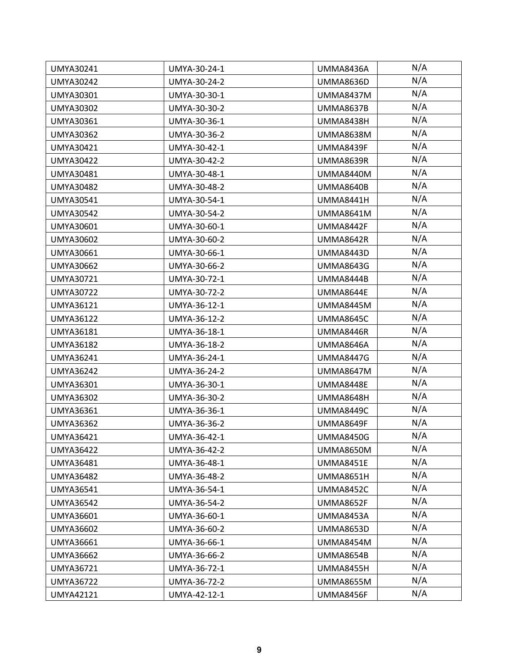| <b>UMYA30241</b> | UMYA-30-24-1 | <b>UMMA8436A</b> | N/A |
|------------------|--------------|------------------|-----|
| <b>UMYA30242</b> | UMYA-30-24-2 | <b>UMMA8636D</b> | N/A |
| UMYA30301        | UMYA-30-30-1 | <b>UMMA8437M</b> | N/A |
| UMYA30302        | UMYA-30-30-2 | <b>UMMA8637B</b> | N/A |
| <b>UMYA30361</b> | UMYA-30-36-1 | <b>UMMA8438H</b> | N/A |
| <b>UMYA30362</b> | UMYA-30-36-2 | <b>UMMA8638M</b> | N/A |
| <b>UMYA30421</b> | UMYA-30-42-1 | UMMA8439F        | N/A |
| <b>UMYA30422</b> | UMYA-30-42-2 | <b>UMMA8639R</b> | N/A |
| <b>UMYA30481</b> | UMYA-30-48-1 | <b>UMMA8440M</b> | N/A |
| <b>UMYA30482</b> | UMYA-30-48-2 | <b>UMMA8640B</b> | N/A |
| <b>UMYA30541</b> | UMYA-30-54-1 | <b>UMMA8441H</b> | N/A |
| <b>UMYA30542</b> | UMYA-30-54-2 | <b>UMMA8641M</b> | N/A |
| <b>UMYA30601</b> | UMYA-30-60-1 | UMMA8442F        | N/A |
| <b>UMYA30602</b> | UMYA-30-60-2 | <b>UMMA8642R</b> | N/A |
| UMYA30661        | UMYA-30-66-1 | <b>UMMA8443D</b> | N/A |
| <b>UMYA30662</b> | UMYA-30-66-2 | <b>UMMA8643G</b> | N/A |
| <b>UMYA30721</b> | UMYA-30-72-1 | UMMA8444B        | N/A |
| <b>UMYA30722</b> | UMYA-30-72-2 | UMMA8644E        | N/A |
| <b>UMYA36121</b> | UMYA-36-12-1 | <b>UMMA8445M</b> | N/A |
| <b>UMYA36122</b> | UMYA-36-12-2 | <b>UMMA8645C</b> | N/A |
| <b>UMYA36181</b> | UMYA-36-18-1 | UMMA8446R        | N/A |
| <b>UMYA36182</b> | UMYA-36-18-2 | UMMA8646A        | N/A |
| <b>UMYA36241</b> | UMYA-36-24-1 | <b>UMMA8447G</b> | N/A |
| <b>UMYA36242</b> | UMYA-36-24-2 | UMMA8647M        | N/A |
| <b>UMYA36301</b> | UMYA-36-30-1 | <b>UMMA8448E</b> | N/A |
| <b>UMYA36302</b> | UMYA-36-30-2 | <b>UMMA8648H</b> | N/A |
| UMYA36361        | UMYA-36-36-1 | <b>UMMA8449C</b> | N/A |
| <b>UMYA36362</b> | UMYA-36-36-2 | UMMA8649F        | N/A |
| <b>UMYA36421</b> | UMYA-36-42-1 | <b>UMMA8450G</b> | N/A |
| <b>UMYA36422</b> | UMYA-36-42-2 | UMMA8650M        | N/A |
| <b>UMYA36481</b> | UMYA-36-48-1 | <b>UMMA8451E</b> | N/A |
| <b>UMYA36482</b> | UMYA-36-48-2 | <b>UMMA8651H</b> | N/A |
| <b>UMYA36541</b> | UMYA-36-54-1 | <b>UMMA8452C</b> | N/A |
| <b>UMYA36542</b> | UMYA-36-54-2 | <b>UMMA8652F</b> | N/A |
| UMYA36601        | UMYA-36-60-1 | <b>UMMA8453A</b> | N/A |
| <b>UMYA36602</b> | UMYA-36-60-2 | <b>UMMA8653D</b> | N/A |
| <b>UMYA36661</b> | UMYA-36-66-1 | <b>UMMA8454M</b> | N/A |
| <b>UMYA36662</b> | UMYA-36-66-2 | <b>UMMA8654B</b> | N/A |
| <b>UMYA36721</b> | UMYA-36-72-1 | <b>UMMA8455H</b> | N/A |
| <b>UMYA36722</b> | UMYA-36-72-2 | UMMA8655M        | N/A |
| UMYA42121        | UMYA-42-12-1 | UMMA8456F        | N/A |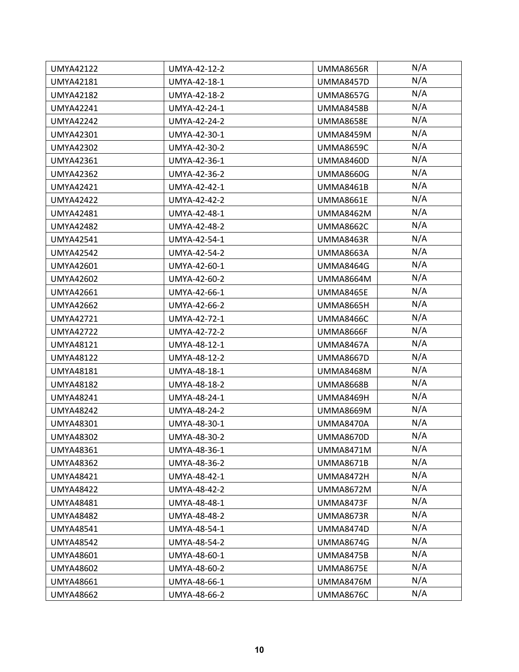| <b>UMYA42122</b> | UMYA-42-12-2 | <b>UMMA8656R</b> | N/A |
|------------------|--------------|------------------|-----|
| <b>UMYA42181</b> | UMYA-42-18-1 | <b>UMMA8457D</b> | N/A |
| <b>UMYA42182</b> | UMYA-42-18-2 | <b>UMMA8657G</b> | N/A |
| <b>UMYA42241</b> | UMYA-42-24-1 | <b>UMMA8458B</b> | N/A |
| <b>UMYA42242</b> | UMYA-42-24-2 | <b>UMMA8658E</b> | N/A |
| <b>UMYA42301</b> | UMYA-42-30-1 | <b>UMMA8459M</b> | N/A |
| <b>UMYA42302</b> | UMYA-42-30-2 | <b>UMMA8659C</b> | N/A |
| <b>UMYA42361</b> | UMYA-42-36-1 | <b>UMMA8460D</b> | N/A |
| <b>UMYA42362</b> | UMYA-42-36-2 | <b>UMMA8660G</b> | N/A |
| <b>UMYA42421</b> | UMYA-42-42-1 | <b>UMMA8461B</b> | N/A |
| <b>UMYA42422</b> | UMYA-42-42-2 | <b>UMMA8661E</b> | N/A |
| <b>UMYA42481</b> | UMYA-42-48-1 | <b>UMMA8462M</b> | N/A |
| <b>UMYA42482</b> | UMYA-42-48-2 | <b>UMMA8662C</b> | N/A |
| <b>UMYA42541</b> | UMYA-42-54-1 | <b>UMMA8463R</b> | N/A |
| <b>UMYA42542</b> | UMYA-42-54-2 | <b>UMMA8663A</b> | N/A |
| UMYA42601        | UMYA-42-60-1 | UMMA8464G        | N/A |
| <b>UMYA42602</b> | UMYA-42-60-2 | UMMA8664M        | N/A |
| <b>UMYA42661</b> | UMYA-42-66-1 | <b>UMMA8465E</b> | N/A |
| <b>UMYA42662</b> | UMYA-42-66-2 | <b>UMMA8665H</b> | N/A |
| <b>UMYA42721</b> | UMYA-42-72-1 | <b>UMMA8466C</b> | N/A |
| <b>UMYA42722</b> | UMYA-42-72-2 | UMMA8666F        | N/A |
| <b>UMYA48121</b> | UMYA-48-12-1 | <b>UMMA8467A</b> | N/A |
| <b>UMYA48122</b> | UMYA-48-12-2 | <b>UMMA8667D</b> | N/A |
| <b>UMYA48181</b> | UMYA-48-18-1 | <b>UMMA8468M</b> | N/A |
| <b>UMYA48182</b> | UMYA-48-18-2 | <b>UMMA8668B</b> | N/A |
| <b>UMYA48241</b> | UMYA-48-24-1 | <b>UMMA8469H</b> | N/A |
| <b>UMYA48242</b> | UMYA-48-24-2 | <b>UMMA8669M</b> | N/A |
| <b>UMYA48301</b> | UMYA-48-30-1 | UMMA8470A        | N/A |
| <b>UMYA48302</b> | UMYA-48-30-2 | <b>UMMA8670D</b> | N/A |
| <b>UMYA48361</b> | UMYA-48-36-1 | <b>UMMA8471M</b> | N/A |
| <b>UMYA48362</b> | UMYA-48-36-2 | <b>UMMA8671B</b> | N/A |
| <b>UMYA48421</b> | UMYA-48-42-1 | <b>UMMA8472H</b> | N/A |
| <b>UMYA48422</b> | UMYA-48-42-2 | <b>UMMA8672M</b> | N/A |
| <b>UMYA48481</b> | UMYA-48-48-1 | UMMA8473F        | N/A |
| <b>UMYA48482</b> | UMYA-48-48-2 | <b>UMMA8673R</b> | N/A |
| <b>UMYA48541</b> | UMYA-48-54-1 | <b>UMMA8474D</b> | N/A |
| <b>UMYA48542</b> | UMYA-48-54-2 | <b>UMMA8674G</b> | N/A |
| <b>UMYA48601</b> | UMYA-48-60-1 | <b>UMMA8475B</b> | N/A |
| <b>UMYA48602</b> | UMYA-48-60-2 | <b>UMMA8675E</b> | N/A |
| <b>UMYA48661</b> | UMYA-48-66-1 | UMMA8476M        | N/A |
| <b>UMYA48662</b> | UMYA-48-66-2 | <b>UMMA8676C</b> | N/A |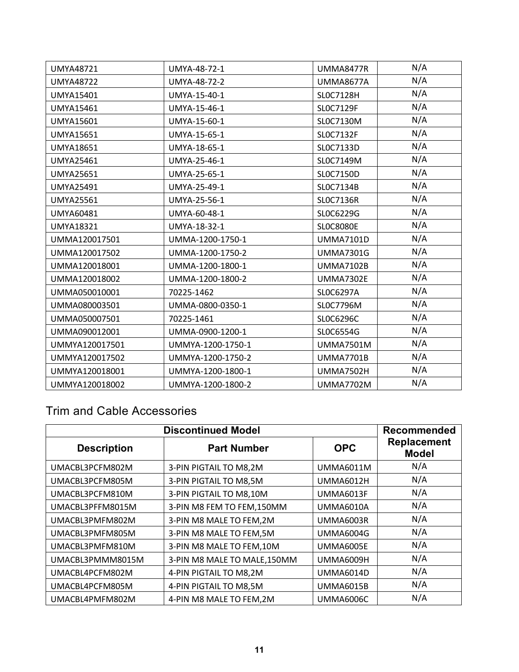| <b>UMYA48721</b> | UMYA-48-72-1      | <b>UMMA8477R</b> | N/A |
|------------------|-------------------|------------------|-----|
| <b>UMYA48722</b> | UMYA-48-72-2      | <b>UMMA8677A</b> | N/A |
| <b>UMYA15401</b> | UMYA-15-40-1      | SLOC7128H        | N/A |
| <b>UMYA15461</b> | UMYA-15-46-1      | SLOC7129F        | N/A |
| <b>UMYA15601</b> | UMYA-15-60-1      | SLOC7130M        | N/A |
| <b>UMYA15651</b> | UMYA-15-65-1      | SLOC7132F        | N/A |
| <b>UMYA18651</b> | UMYA-18-65-1      | SLOC7133D        | N/A |
| <b>UMYA25461</b> | UMYA-25-46-1      | SL0C7149M        | N/A |
| <b>UMYA25651</b> | UMYA-25-65-1      | SLOC7150D        | N/A |
| <b>UMYA25491</b> | UMYA-25-49-1      | SLOC7134B        | N/A |
| <b>UMYA25561</b> | UMYA-25-56-1      | SLOC7136R        | N/A |
| <b>UMYA60481</b> | UMYA-60-48-1      | SLOC6229G        | N/A |
| <b>UMYA18321</b> | UMYA-18-32-1      | <b>SLOC8080E</b> | N/A |
| UMMA120017501    | UMMA-1200-1750-1  | <b>UMMA7101D</b> | N/A |
| UMMA120017502    | UMMA-1200-1750-2  | <b>UMMA7301G</b> | N/A |
| UMMA120018001    | UMMA-1200-1800-1  | <b>UMMA7102B</b> | N/A |
| UMMA120018002    | UMMA-1200-1800-2  | <b>UMMA7302E</b> | N/A |
| UMMA050010001    | 70225-1462        | SLOC6297A        | N/A |
| UMMA080003501    | UMMA-0800-0350-1  | SL0C7796M        | N/A |
| UMMA050007501    | 70225-1461        | SLOC6296C        | N/A |
| UMMA090012001    | UMMA-0900-1200-1  | SLOC6554G        | N/A |
| UMMYA120017501   | UMMYA-1200-1750-1 | <b>UMMA7501M</b> | N/A |
| UMMYA120017502   | UMMYA-1200-1750-2 | <b>UMMA7701B</b> | N/A |
| UMMYA120018001   | UMMYA-1200-1800-1 | <b>UMMA7502H</b> | N/A |
| UMMYA120018002   | UMMYA-1200-1800-2 | <b>UMMA7702M</b> | N/A |

## Trim and Cable Accessories

| <b>Discontinued Model</b> | <b>Recommended</b>           |                  |                             |
|---------------------------|------------------------------|------------------|-----------------------------|
| <b>Description</b>        | <b>Part Number</b>           | <b>OPC</b>       | Replacement<br><b>Model</b> |
| UMACBL3PCFM802M           | 3-PIN PIGTAIL TO M8,2M       | <b>UMMA6011M</b> | N/A                         |
| UMACBL3PCFM805M           | 3-PIN PIGTAIL TO M8,5M       | <b>UMMA6012H</b> | N/A                         |
| UMACBL3PCFM810M           | 3-PIN PIGTAIL TO M8,10M      | UMMA6013F        | N/A                         |
| UMACBL3PFFM8015M          | 3-PIN M8 FEM TO FEM,150MM    | UMMA6010A        | N/A                         |
| UMACBL3PMFM802M           | 3-PIN M8 MALE TO FEM,2M      | <b>UMMA6003R</b> | N/A                         |
| UMACBL3PMFM805M           | 3-PIN M8 MALE TO FEM,5M      | UMMA6004G        | N/A                         |
| UMACBL3PMFM810M           | 3-PIN M8 MALE TO FEM, 10M    | UMMA6005E        | N/A                         |
| UMACBL3PMMM8015M          | 3-PIN M8 MALE TO MALE, 150MM | UMMA6009H        | N/A                         |
| UMACBL4PCFM802M           | 4-PIN PIGTAIL TO M8,2M       | <b>UMMA6014D</b> | N/A                         |
| UMACBL4PCFM805M           | 4-PIN PIGTAIL TO M8,5M       | <b>UMMA6015B</b> | N/A                         |
| UMACBL4PMFM802M           | 4-PIN M8 MALE TO FEM,2M      | UMMA6006C        | N/A                         |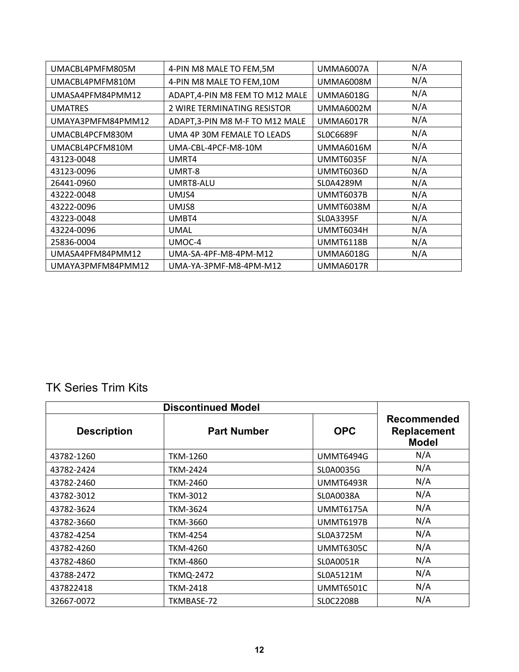| UMACBL4PMFM805M   | 4-PIN M8 MALE TO FEM,5M         | UMMA6007A        | N/A |
|-------------------|---------------------------------|------------------|-----|
| UMACBL4PMFM810M   | 4-PIN M8 MALE TO FEM, 10M       | UMMA6008M        | N/A |
| UMASA4PFM84PMM12  | ADAPT, 4-PIN M8 FEM TO M12 MALE | <b>UMMA6018G</b> | N/A |
| <b>UMATRES</b>    | 2 WIRE TERMINATING RESISTOR     | UMMA6002M        | N/A |
| UMAYA3PMFM84PMM12 | ADAPT, 3-PIN M8 M-F TO M12 MALE | UMMA6017R        | N/A |
| UMACBL4PCFM830M   | UMA 4P 30M FEMALE TO LEADS      | <b>SLOC6689F</b> | N/A |
| UMACBL4PCFM810M   | UMA-CBL-4PCF-M8-10M             | UMMA6016M        | N/A |
| 43123-0048        | UMRT4                           | UMMT6035F        | N/A |
| 43123-0096        | UMRT-8                          | UMMT6036D        | N/A |
| 26441-0960        | UMRT8-ALU                       | SL0A4289M        | N/A |
| 43222-0048        | UMJS4                           | <b>UMMT6037B</b> | N/A |
| 43222-0096        | UMJS8                           | UMMT6038M        | N/A |
| 43223-0048        | UMBT4                           | <b>SLOA3395F</b> | N/A |
| 43224-0096        | <b>UMAL</b>                     | UMMT6034H        | N/A |
| 25836-0004        | UMOC-4                          | UMMT6118B        | N/A |
| UMASA4PFM84PMM12  | UMA-SA-4PF-M8-4PM-M12           | UMMA6018G        | N/A |
| UMAYA3PMFM84PMM12 | UMA-YA-3PMF-M8-4PM-M12          | UMMA6017R        |     |

#### TK Series Trim Kits

| <b>Discontinued Model</b> |                    |                  |                                                   |
|---------------------------|--------------------|------------------|---------------------------------------------------|
| <b>Description</b>        | <b>Part Number</b> | <b>OPC</b>       | Recommended<br><b>Replacement</b><br><b>Model</b> |
| 43782-1260                | <b>TKM-1260</b>    | <b>UMMT6494G</b> | N/A                                               |
| 43782-2424                | TKM-2424           | SL0A0035G        | N/A                                               |
| 43782-2460                | <b>TKM-2460</b>    | <b>UMMT6493R</b> | N/A                                               |
| 43782-3012                | <b>TKM-3012</b>    | <b>SLOA0038A</b> | N/A                                               |
| 43782-3624                | TKM-3624           | <b>UMMT6175A</b> | N/A                                               |
| 43782-3660                | <b>TKM-3660</b>    | <b>UMMT6197B</b> | N/A                                               |
| 43782-4254                | TKM-4254           | SL0A3725M        | N/A                                               |
| 43782-4260                | TKM-4260           | <b>UMMT6305C</b> | N/A                                               |
| 43782-4860                | <b>TKM-4860</b>    | <b>SLOA0051R</b> | N/A                                               |
| 43788-2472                | <b>TKMQ-2472</b>   | SL0A5121M        | N/A                                               |
| 437822418                 | TKM-2418           | <b>UMMT6501C</b> | N/A                                               |
| 32667-0072                | TKMBASE-72         | <b>SLOC2208B</b> | N/A                                               |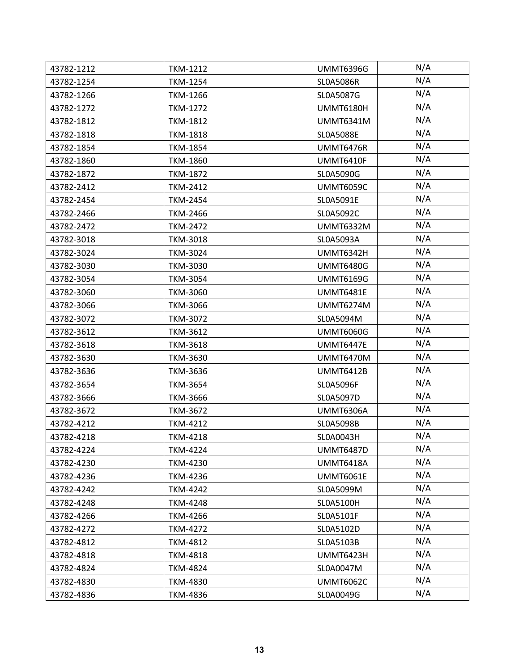| 43782-1212 | <b>TKM-1212</b> | <b>UMMT6396G</b> | N/A |
|------------|-----------------|------------------|-----|
| 43782-1254 | <b>TKM-1254</b> | <b>SLOA5086R</b> | N/A |
| 43782-1266 | <b>TKM-1266</b> | SL0A5087G        | N/A |
| 43782-1272 | <b>TKM-1272</b> | <b>UMMT6180H</b> | N/A |
| 43782-1812 | <b>TKM-1812</b> | <b>UMMT6341M</b> | N/A |
| 43782-1818 | <b>TKM-1818</b> | <b>SLOA5088E</b> | N/A |
| 43782-1854 | <b>TKM-1854</b> | <b>UMMT6476R</b> | N/A |
| 43782-1860 | <b>TKM-1860</b> | <b>UMMT6410F</b> | N/A |
| 43782-1872 | <b>TKM-1872</b> | SL0A5090G        | N/A |
| 43782-2412 | <b>TKM-2412</b> | <b>UMMT6059C</b> | N/A |
| 43782-2454 | <b>TKM-2454</b> | SL0A5091E        | N/A |
| 43782-2466 | <b>TKM-2466</b> | SL0A5092C        | N/A |
| 43782-2472 | <b>TKM-2472</b> | <b>UMMT6332M</b> | N/A |
| 43782-3018 | <b>TKM-3018</b> | SL0A5093A        | N/A |
| 43782-3024 | <b>TKM-3024</b> | <b>UMMT6342H</b> | N/A |
| 43782-3030 | <b>TKM-3030</b> | <b>UMMT6480G</b> | N/A |
| 43782-3054 | <b>TKM-3054</b> | <b>UMMT6169G</b> | N/A |
| 43782-3060 | <b>TKM-3060</b> | <b>UMMT6481E</b> | N/A |
| 43782-3066 | <b>TKM-3066</b> | <b>UMMT6274M</b> | N/A |
| 43782-3072 | <b>TKM-3072</b> | SL0A5094M        | N/A |
| 43782-3612 | <b>TKM-3612</b> | <b>UMMT6060G</b> | N/A |
| 43782-3618 | <b>TKM-3618</b> | <b>UMMT6447E</b> | N/A |
| 43782-3630 | <b>TKM-3630</b> | <b>UMMT6470M</b> | N/A |
| 43782-3636 | <b>TKM-3636</b> | <b>UMMT6412B</b> | N/A |
| 43782-3654 | <b>TKM-3654</b> | <b>SLOA5096F</b> | N/A |
| 43782-3666 | <b>TKM-3666</b> | SL0A5097D        | N/A |
| 43782-3672 | <b>TKM-3672</b> | <b>UMMT6306A</b> | N/A |
| 43782-4212 | <b>TKM-4212</b> | SL0A5098B        | N/A |
| 43782-4218 | <b>TKM-4218</b> | SL0A0043H        | N/A |
| 43782-4224 | <b>TKM-4224</b> | <b>UMMT6487D</b> | N/A |
| 43782-4230 | <b>TKM-4230</b> | <b>UMMT6418A</b> | N/A |
| 43782-4236 | <b>TKM-4236</b> | <b>UMMT6061E</b> | N/A |
| 43782-4242 | <b>TKM-4242</b> | SL0A5099M        | N/A |
| 43782-4248 | <b>TKM-4248</b> | SL0A5100H        | N/A |
| 43782-4266 | <b>TKM-4266</b> | SL0A5101F        | N/A |
| 43782-4272 | <b>TKM-4272</b> | SL0A5102D        | N/A |
| 43782-4812 | <b>TKM-4812</b> | SL0A5103B        | N/A |
| 43782-4818 | <b>TKM-4818</b> | <b>UMMT6423H</b> | N/A |
| 43782-4824 | <b>TKM-4824</b> | SL0A0047M        | N/A |
| 43782-4830 | <b>TKM-4830</b> | <b>UMMT6062C</b> | N/A |
| 43782-4836 | <b>TKM-4836</b> | SL0A0049G        | N/A |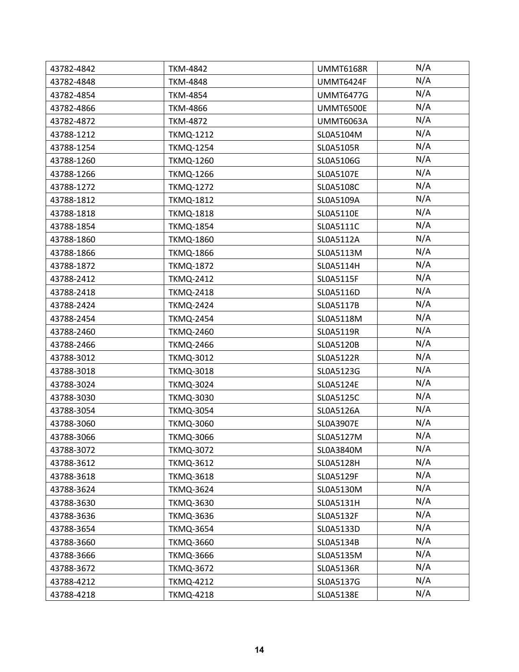| 43782-4842 | <b>TKM-4842</b>  | <b>UMMT6168R</b> | N/A |
|------------|------------------|------------------|-----|
| 43782-4848 | <b>TKM-4848</b>  | UMMT6424F        | N/A |
| 43782-4854 | <b>TKM-4854</b>  | <b>UMMT6477G</b> | N/A |
| 43782-4866 | <b>TKM-4866</b>  | UMMT6500E        | N/A |
| 43782-4872 | <b>TKM-4872</b>  | UMMT6063A        | N/A |
| 43788-1212 | <b>TKMQ-1212</b> | SL0A5104M        | N/A |
| 43788-1254 | <b>TKMQ-1254</b> | SL0A5105R        | N/A |
| 43788-1260 | <b>TKMQ-1260</b> | SL0A5106G        | N/A |
| 43788-1266 | <b>TKMQ-1266</b> | SL0A5107E        | N/A |
| 43788-1272 | <b>TKMQ-1272</b> | SL0A5108C        | N/A |
| 43788-1812 | <b>TKMQ-1812</b> | SL0A5109A        | N/A |
| 43788-1818 | <b>TKMQ-1818</b> | SL0A5110E        | N/A |
| 43788-1854 | <b>TKMQ-1854</b> | SL0A5111C        | N/A |
| 43788-1860 | <b>TKMQ-1860</b> | SL0A5112A        | N/A |
| 43788-1866 | <b>TKMQ-1866</b> | SL0A5113M        | N/A |
| 43788-1872 | <b>TKMQ-1872</b> | SL0A5114H        | N/A |
| 43788-2412 | <b>TKMQ-2412</b> | SL0A5115F        | N/A |
| 43788-2418 | <b>TKMQ-2418</b> | SL0A5116D        | N/A |
| 43788-2424 | <b>TKMQ-2424</b> | SL0A5117B        | N/A |
| 43788-2454 | <b>TKMQ-2454</b> | SL0A5118M        | N/A |
| 43788-2460 | <b>TKMQ-2460</b> | SL0A5119R        | N/A |
| 43788-2466 | <b>TKMQ-2466</b> | SL0A5120B        | N/A |
| 43788-3012 | <b>TKMQ-3012</b> | SL0A5122R        | N/A |
| 43788-3018 | <b>TKMQ-3018</b> | SL0A5123G        | N/A |
| 43788-3024 | <b>TKMQ-3024</b> | SL0A5124E        | N/A |
| 43788-3030 | <b>TKMQ-3030</b> | SL0A5125C        | N/A |
| 43788-3054 | <b>TKMQ-3054</b> | SL0A5126A        | N/A |
| 43788-3060 | <b>TKMQ-3060</b> | SL0A3907E        | N/A |
| 43788-3066 | <b>TKMQ-3066</b> | SL0A5127M        | N/A |
| 43788-3072 | <b>TKMQ-3072</b> | SL0A3840M        | N/A |
| 43788-3612 | <b>TKMQ-3612</b> | SL0A5128H        | N/A |
| 43788-3618 | <b>TKMQ-3618</b> | SL0A5129F        | N/A |
| 43788-3624 | <b>TKMQ-3624</b> | SL0A5130M        | N/A |
| 43788-3630 | <b>TKMQ-3630</b> | SL0A5131H        | N/A |
| 43788-3636 | <b>TKMQ-3636</b> | SL0A5132F        | N/A |
| 43788-3654 | <b>TKMQ-3654</b> | SL0A5133D        | N/A |
| 43788-3660 | <b>TKMQ-3660</b> | SL0A5134B        | N/A |
| 43788-3666 | <b>TKMQ-3666</b> | SL0A5135M        | N/A |
| 43788-3672 | <b>TKMQ-3672</b> | SL0A5136R        | N/A |
| 43788-4212 | <b>TKMQ-4212</b> | SL0A5137G        | N/A |
| 43788-4218 | <b>TKMQ-4218</b> | SL0A5138E        | N/A |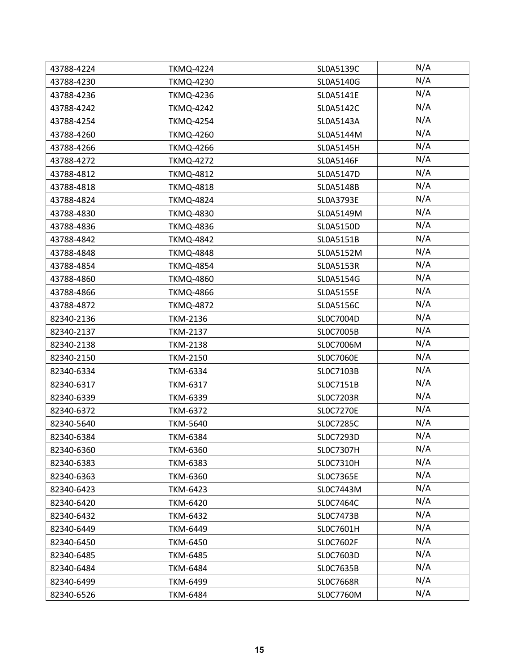| 43788-4224 | <b>TKMQ-4224</b> | SL0A5139C        | N/A |
|------------|------------------|------------------|-----|
| 43788-4230 | <b>TKMQ-4230</b> | SL0A5140G        | N/A |
| 43788-4236 | <b>TKMQ-4236</b> | SL0A5141E        | N/A |
| 43788-4242 | <b>TKMQ-4242</b> | SL0A5142C        | N/A |
| 43788-4254 | <b>TKMQ-4254</b> | SL0A5143A        | N/A |
| 43788-4260 | <b>TKMQ-4260</b> | SL0A5144M        | N/A |
| 43788-4266 | <b>TKMQ-4266</b> | SL0A5145H        | N/A |
| 43788-4272 | <b>TKMQ-4272</b> | SL0A5146F        | N/A |
| 43788-4812 | <b>TKMQ-4812</b> | SL0A5147D        | N/A |
| 43788-4818 | <b>TKMQ-4818</b> | SL0A5148B        | N/A |
| 43788-4824 | <b>TKMQ-4824</b> | SL0A3793E        | N/A |
| 43788-4830 | <b>TKMQ-4830</b> | SL0A5149M        | N/A |
| 43788-4836 | <b>TKMQ-4836</b> | SL0A5150D        | N/A |
| 43788-4842 | <b>TKMQ-4842</b> | SL0A5151B        | N/A |
| 43788-4848 | <b>TKMQ-4848</b> | SL0A5152M        | N/A |
| 43788-4854 | <b>TKMQ-4854</b> | SL0A5153R        | N/A |
| 43788-4860 | <b>TKMQ-4860</b> | SL0A5154G        | N/A |
| 43788-4866 | <b>TKMQ-4866</b> | SL0A5155E        | N/A |
| 43788-4872 | <b>TKMQ-4872</b> | SL0A5156C        | N/A |
| 82340-2136 | <b>TKM-2136</b>  | SL0C7004D        | N/A |
| 82340-2137 | <b>TKM-2137</b>  | SLOC7005B        | N/A |
| 82340-2138 | <b>TKM-2138</b>  | SL0C7006M        | N/A |
| 82340-2150 | <b>TKM-2150</b>  | <b>SLOC7060E</b> | N/A |
| 82340-6334 | <b>TKM-6334</b>  | SLOC7103B        | N/A |
| 82340-6317 | <b>TKM-6317</b>  | SLOC7151B        | N/A |
| 82340-6339 | TKM-6339         | <b>SLOC7203R</b> | N/A |
| 82340-6372 | <b>TKM-6372</b>  | <b>SLOC7270E</b> | N/A |
| 82340-5640 | <b>TKM-5640</b>  | SLOC7285C        | N/A |
| 82340-6384 | <b>TKM-6384</b>  | SLOC7293D        | N/A |
| 82340-6360 | <b>TKM-6360</b>  | <b>SLOC7307H</b> | N/A |
| 82340-6383 | <b>TKM-6383</b>  | SLOC7310H        | N/A |
| 82340-6363 | <b>TKM-6360</b>  | SLOC7365E        | N/A |
| 82340-6423 | TKM-6423         | SL0C7443M        | N/A |
| 82340-6420 | <b>TKM-6420</b>  | SLOC7464C        | N/A |
| 82340-6432 | <b>TKM-6432</b>  | SLOC7473B        | N/A |
| 82340-6449 | TKM-6449         | SLOC7601H        | N/A |
| 82340-6450 | <b>TKM-6450</b>  | SLOC7602F        | N/A |
| 82340-6485 | <b>TKM-6485</b>  | SLOC7603D        | N/A |
| 82340-6484 | <b>TKM-6484</b>  | SLOC7635B        | N/A |
| 82340-6499 | TKM-6499         | <b>SLOC7668R</b> | N/A |
| 82340-6526 | <b>TKM-6484</b>  | SL0C7760M        | N/A |